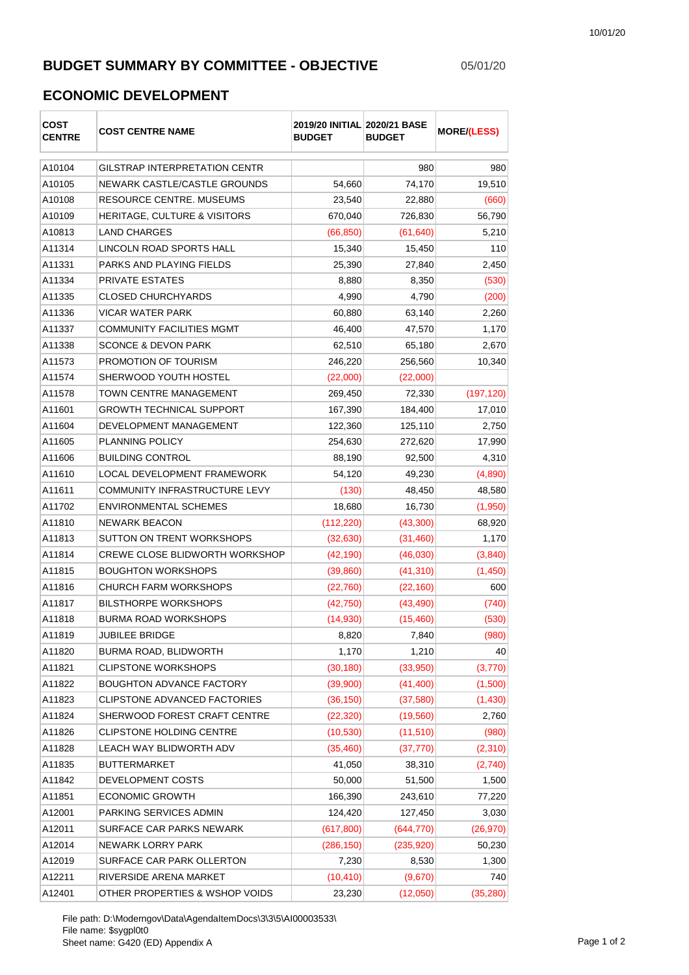## **BUDGET SUMMARY BY COMMITTEE - OBJECTIVE** 05/01/20

## **ECONOMIC DEVELOPMENT**

| COST<br><b>CENTRE</b> | <b>COST CENTRE NAME</b>                 | 2019/20 INITIAL 2020/21 BASE<br><b>BUDGET</b> | <b>BUDGET</b> | <b>MORE/(LESS)</b> |
|-----------------------|-----------------------------------------|-----------------------------------------------|---------------|--------------------|
| A10104                | <b>GILSTRAP INTERPRETATION CENTR</b>    |                                               | 980           | 980                |
| A10105                | NEWARK CASTLE/CASTLE GROUNDS            | 54,660                                        | 74,170        | 19,510             |
| A10108                | <b>RESOURCE CENTRE, MUSEUMS</b>         | 23,540                                        | 22,880        | (660)              |
| A10109                | <b>HERITAGE, CULTURE &amp; VISITORS</b> | 670,040                                       | 726,830       | 56,790             |
| A10813                | <b>LAND CHARGES</b>                     | (66, 850)                                     | (61, 640)     | 5,210              |
| A11314                | LINCOLN ROAD SPORTS HALL                | 15,340                                        | 15,450        | 110                |
| A11331                | PARKS AND PLAYING FIELDS                | 25,390                                        | 27,840        | 2,450              |
| A11334                | PRIVATE ESTATES                         | 8,880                                         | 8,350         | (530)              |
| A11335                | <b>CLOSED CHURCHYARDS</b>               | 4,990                                         | 4,790         | (200)              |
| A11336                | <b>VICAR WATER PARK</b>                 | 60,880                                        | 63,140        | 2,260              |
| A11337                | COMMUNITY FACILITIES MGMT               | 46,400                                        | 47,570        | 1,170              |
| A11338                | <b>SCONCE &amp; DEVON PARK</b>          | 62,510                                        | 65,180        | 2,670              |
| A11573                | PROMOTION OF TOURISM                    | 246,220                                       | 256,560       | 10,340             |
| A11574                | SHERWOOD YOUTH HOSTEL                   | (22,000)                                      | (22,000)      |                    |
| A11578                | <b>TOWN CENTRE MANAGEMENT</b>           | 269,450                                       | 72,330        | (197, 120)         |
| A11601                | <b>GROWTH TECHNICAL SUPPORT</b>         | 167,390                                       | 184,400       | 17,010             |
| A11604                | DEVELOPMENT MANAGEMENT                  | 122,360                                       | 125,110       | 2,750              |
| A11605                | <b>PLANNING POLICY</b>                  | 254,630                                       | 272,620       | 17,990             |
| A11606                | <b>BUILDING CONTROL</b>                 | 88,190                                        | 92,500        | 4,310              |
| A11610                | LOCAL DEVELOPMENT FRAMEWORK             | 54,120                                        | 49,230        | (4,890)            |
| A11611                | COMMUNITY INFRASTRUCTURE LEVY           | (130)                                         | 48,450        | 48,580             |
| A11702                | <b>ENVIRONMENTAL SCHEMES</b>            | 18,680                                        | 16,730        | (1,950)            |
| A11810                | <b>NEWARK BEACON</b>                    | (112, 220)                                    | (43,300)      | 68,920             |
| A11813                | SUTTON ON TRENT WORKSHOPS               | (32, 630)                                     | (31, 460)     | 1,170              |
| A11814                | CREWE CLOSE BLIDWORTH WORKSHOP          | (42, 190)                                     | (46,030)      | (3,840)            |
| A11815                | <b>BOUGHTON WORKSHOPS</b>               | (39, 860)                                     | (41, 310)     | (1,450)            |
| A11816                | <b>CHURCH FARM WORKSHOPS</b>            | (22, 760)                                     | (22, 160)     | 600                |
| A11817                | <b>BILSTHORPE WORKSHOPS</b>             | (42, 750)                                     | (43, 490)     | (740)              |
| A11818                | <b>BURMA ROAD WORKSHOPS</b>             | (14,930)                                      | (15, 460)     | (530)              |
| A11819                | JUBILEE BRIDGE                          | 8,820                                         | 7,840         | (980)              |
| A11820                | <b>BURMA ROAD, BLIDWORTH</b>            | 1,170                                         | 1,210         | 40                 |
| A11821                | <b>CLIPSTONE WORKSHOPS</b>              | (30, 180)                                     | (33,950)      | (3,770)            |
| A11822                | <b>BOUGHTON ADVANCE FACTORY</b>         | (39,900)                                      | (41, 400)     | (1,500)            |
| A11823                | CLIPSTONE ADVANCED FACTORIES            | (36, 150)                                     | (37, 580)     | (1,430)            |
| A11824                | SHERWOOD FOREST CRAFT CENTRE            | (22, 320)                                     | (19, 560)     | 2,760              |
| A11826                | <b>CLIPSTONE HOLDING CENTRE</b>         | (10, 530)                                     | (11, 510)     | (980)              |
| A11828                | LEACH WAY BLIDWORTH ADV                 | (35, 460)                                     | (37, 770)     | (2,310)            |
| A11835                | <b>BUTTERMARKET</b>                     | 41,050                                        | 38,310        | (2,740)            |
| A11842                | DEVELOPMENT COSTS                       | 50,000                                        | 51,500        | 1,500              |
| A11851                | <b>ECONOMIC GROWTH</b>                  | 166,390                                       | 243,610       | 77,220             |
| A12001                | PARKING SERVICES ADMIN                  | 124,420                                       | 127,450       | 3,030              |
| A12011                | SURFACE CAR PARKS NEWARK                | (617, 800)                                    | (644, 770)    | (26, 970)          |
| A12014                | NEWARK LORRY PARK                       | (286, 150)                                    | (235, 920)    | 50,230             |
| A12019                | SURFACE CAR PARK OLLERTON               | 7,230                                         | 8,530         | 1,300              |
| A12211                | RIVERSIDE ARENA MARKET                  | (10, 410)                                     | (9,670)       | 740                |
| A12401                | OTHER PROPERTIES & WSHOP VOIDS          | 23,230                                        | (12,050)      | (35, 280)          |